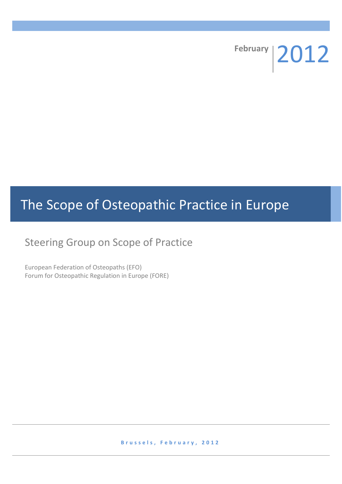**February** 2012

# The Scope of Osteopathic Practice in Europe

## Steering Group on Scope of Practice

European Federation of Osteopaths (EFO) Forum for Osteopathic Regulation in Europe (FORE)

**B r u s s e l s , F e b r u a r y , 2 0 1 2**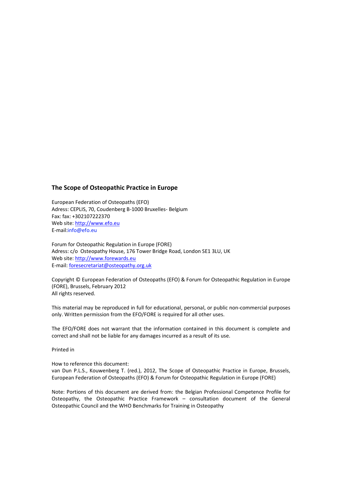#### **The Scope of Osteopathic Practice in Europe**

European Federation of Osteopaths (EFO) Adress: CEPLIS, 70, Coudenberg B-1000 Bruxelles- Belgium Fax: fax: +302107222370 Web site: [http://www.efo.eu](http://www.efo.eu/) E-mail[:info@efo.eu](mailto:info@efo.eu)

Forum for Osteopathic Regulation in Europe (FORE) Adress: c/o Osteopathy House, 176 Tower Bridge Road, London SE1 3LU, UK Web site: [http://www.forewards.eu](http://www.forewards.eu/) E-mail: [foresecretariat@osteopathy.org.uk](mailto:foresecretariat@osteopathy.org.uk)

Copyright © European Federation of Osteopaths (EFO) & Forum for Osteopathic Regulation in Europe (FORE), Brussels, February 2012 All rights reserved.

This material may be reproduced in full for educational, personal, or public non-commercial purposes only. Written permission from the EFO/FORE is required for all other uses.

The EFO/FORE does not warrant that the information contained in this document is complete and correct and shall not be liable for any damages incurred as a result of its use.

Printed in

How to reference this document:

van Dun P.L.S., Kouwenberg T. (red.), 2012, The Scope of Osteopathic Practice in Europe, Brussels, European Federation of Osteopaths (EFO) & Forum for Osteopathic Regulation in Europe (FORE)

Note: Portions of this document are derived from: the Belgian Professional Competence Profile for Osteopathy, the Osteopathic Practice Framework – consultation document of the General Osteopathic Council and the WHO Benchmarks for Training in Osteopathy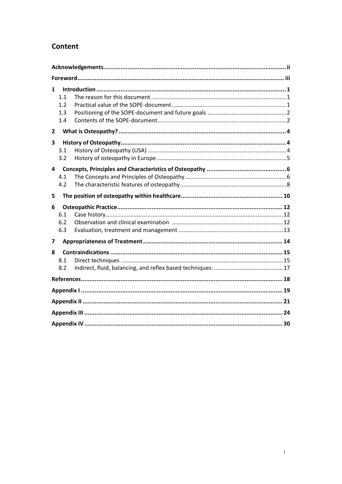## **Content**

| 1            | 1.1<br>1.2<br>1.3<br>1.4 |  |  |  |  |  |
|--------------|--------------------------|--|--|--|--|--|
| $\mathbf{2}$ |                          |  |  |  |  |  |
| 3            | 3.1<br>3.2               |  |  |  |  |  |
| 4            | 4.1<br>4.2               |  |  |  |  |  |
| 5            |                          |  |  |  |  |  |
| 6            | 6.1<br>6.2<br>6.3        |  |  |  |  |  |
| 7            |                          |  |  |  |  |  |
| 8            | 8.1<br>8.2               |  |  |  |  |  |
|              |                          |  |  |  |  |  |
|              |                          |  |  |  |  |  |
|              |                          |  |  |  |  |  |
|              |                          |  |  |  |  |  |
|              |                          |  |  |  |  |  |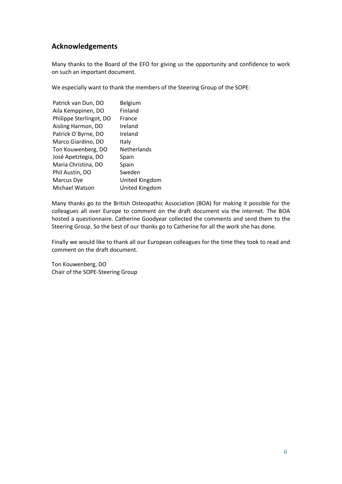## **Acknowledgements**

Many thanks to the Board of the EFO for giving us the opportunity and confidence to work on such an important document.

We especially want to thank the members of the Steering Group of the SOPE:

| Patrick van Dun, DO     | Belgium            |
|-------------------------|--------------------|
| Aila Kemppinen, DO      | Finland            |
| Philippe Sterlingot, DO | France             |
| Aisling Harmon, DO      | Ireland            |
| Patrick O'Byrne, DO     | Ireland            |
| Marco Giardino, DO      | Italy              |
| Ton Kouwenberg, DO      | <b>Netherlands</b> |
| José Apetztegia, DO     | Spain              |
| Maria Christina, DO     | Spain              |
| Phil Austin, DO         | Sweden             |
| Marcus Dye              | United Kingdom     |
| Michael Watson          | United Kingdom     |

Many thanks go to the British Osteopathic Association (BOA) for making it possible for the colleagues all over Europe to comment on the draft document via the internet. The BOA hosted a questionnaire. Catherine Goodyear collected the comments and send them to the Steering Group. So the best of our thanks go to Catherine for all the work she has done.

Finally we would like to thank all our European colleagues for the time they took to read and comment on the draft document.

Ton Kouwenberg, DO Chair of the SOPE-Steering Group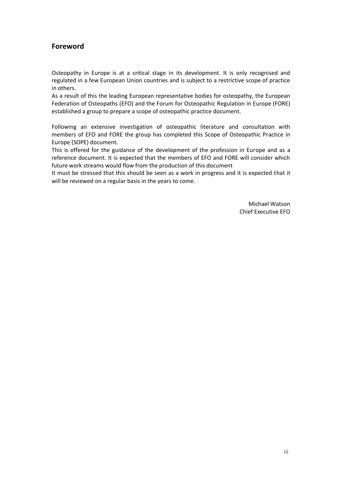## **Foreword**

Osteopathy in Europe is at a critical stage in its development. It is only recognised and regulated in a few European Union countries and is subject to a restrictive scope of practice in others.

As a result of this the leading European representative bodies for osteopathy, the European Federation of Osteopaths (EFO) and the Forum for Osteopathic Regulation in Europe (FORE) established a group to prepare a scope of osteopathic practice document.

Following an extensive investigation of osteopathic literature and consultation with members of EFO and FORE the group has completed this Scope of Osteopathic Practice in Europe (SOPE) document.

This is offered for the guidance of the development of the profession in Europe and as a reference document. It is expected that the members of EFO and FORE will consider which future work streams would flow from the production of this document

It must be stressed that this should be seen as a work in progress and it is expected that it will be reviewed on a regular basis in the years to come.

> Michael Watson Chief Executive EFO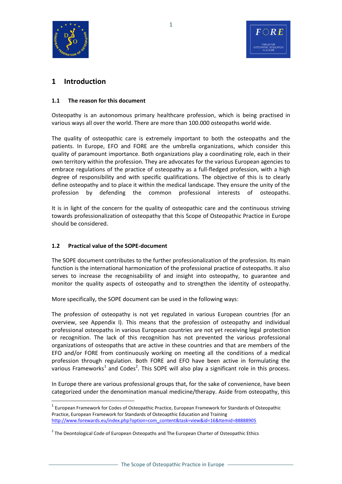



## **1 Introduction**

#### **1.1 The reason for this document**

Osteopathy is an autonomous primary healthcare profession, which is being practised in various ways all over the world. There are more than 100.000 osteopaths world wide.

The quality of osteopathic care is extremely important to both the osteopaths and the patients. In Europe, EFO and FORE are the umbrella organizations, which consider this quality of paramount importance. Both organizations play a coordinating role, each in their own territory within the profession. They are advocates for the various European agencies to embrace regulations of the practice of osteopathy as a full-fledged profession, with a high degree of responsibility and with specific qualifications. The objective of this is to clearly define osteopathy and to place it within the medical landscape. They ensure the unity of the profession by defending the common professional interests of osteopaths.

It is in light of the concern for the quality of osteopathic care and the continuous striving towards professionalization of osteopathy that this Scope of Osteopathic Practice in Europe should be considered.

#### **1.2 Practical value of the SOPE-document**

<u>.</u>

The SOPE document contributes to the further professionalization of the profession. Its main function is the international harmonization of the professional practice of osteopaths. It also serves to increase the recognisability of and insight into osteopathy, to guarantee and monitor the quality aspects of osteopathy and to strengthen the identity of osteopathy.

More specifically, the SOPE document can be used in the following ways:

The profession of osteopathy is not yet regulated in various European countries (for an overview, see Appendix I). This means that the profession of osteopathy and individual professional osteopaths in various European countries are not yet receiving legal protection or recognition. The lack of this recognition has not prevented the various professional organizations of osteopaths that are active in these countries and that are members of the EFO and/or FORE from continuously working on meeting all the conditions of a medical profession through regulation. Both FORE and EFO have been active in formulating the various Frameworks<sup>1</sup> and Codes<sup>2</sup>. This SOPE will also play a significant role in this process.

In Europe there are various professional groups that, for the sake of convenience, have been categorized under the denomination manual medicine/therapy. Aside from osteopathy, this

 $<sup>1</sup>$  European Framework for Codes of Osteopathic Practice, European Framework for Standards of Osteopathic</sup> Practice, European Framework for Standards of Osteoapthic Education and Training [http://www.forewards.eu/index.php?option=com\\_content&task=view&id=16&Itemid=88888905](http://www.forewards.eu/index.php?option=com_content&task=view&id=16&Itemid=88888905)

<sup>&</sup>lt;sup>2</sup> The Deontological Code of European Osteopaths and The European Charter of Osteopathic Ethics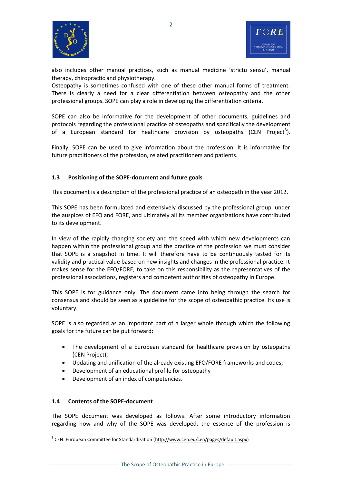



also includes other manual practices, such as manual medicine 'strictu sensu', manual therapy, chiropractic and physiotherapy.

Osteopathy is sometimes confused with one of these other manual forms of treatment. There is clearly a need for a clear differentiation between osteopathy and the other professional groups. SOPE can play a role in developing the differentiation criteria.

SOPE can also be informative for the development of other documents, guidelines and protocols regarding the professional practice of osteopaths and specifically the development of a European standard for healthcare provision by osteopaths (CEN Project<sup>3</sup>).

Finally, SOPE can be used to give information about the profession. It is informative for future practitioners of the profession, related practitioners and patients.

#### **1.3 Positioning of the SOPE-document and future goals**

This document is a description of the professional practice of an osteopath in the year 2012.

This SOPE has been formulated and extensively discussed by the professional group, under the auspices of EFO and FORE, and ultimately all its member organizations have contributed to its development.

In view of the rapidly changing society and the speed with which new developments can happen within the professional group and the practice of the profession we must consider that SOPE is a snapshot in time. It will therefore have to be continuously tested for its validity and practical value based on new insights and changes in the professional practice. It makes sense for the EFO/FORE, to take on this responsibility as the representatives of the professional associations, registers and competent authorities of osteopathy in Europe.

This SOPE is for guidance only. The document came into being through the search for consensus and should be seen as a guideline for the scope of osteopathic practice. Its use is voluntary.

SOPE is also regarded as an important part of a larger whole through which the following goals for the future can be put forward:

- The development of a European standard for healthcare provision by osteopaths (CEN Project);
- Updating and unification of the already existing EFO/FORE frameworks and codes;
- Development of an educational profile for osteopathy
- Development of an index of competencies.

#### **1.4 Contents of the SOPE-document**

1

The SOPE document was developed as follows. After some introductory information regarding how and why of the SOPE was developed, the essence of the profession is

<sup>&</sup>lt;sup>3</sup> CEN: European Committee for Standardization [\(http://www.cen.eu/cen/pages/default.aspx\)](http://www.cen.eu/cen/pages/default.aspx)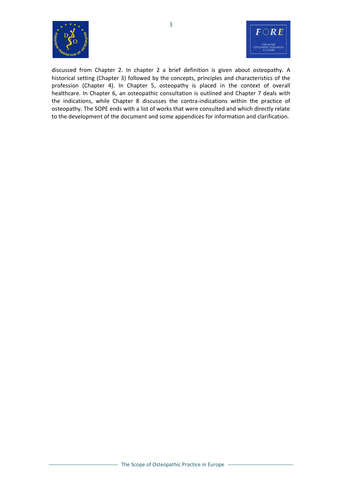



discussed from Chapter 2. In chapter 2 a brief definition is given about osteopathy. A historical setting (Chapter 3) followed by the concepts, principles and characteristics of the profession (Chapter 4). In Chapter 5, osteopathy is placed in the context of overall healthcare. In Chapter 6, an osteopathic consultation is outlined and Chapter 7 deals with the indications, while Chapter 8 discusses the contra-indications within the practice of osteopathy. The SOPE ends with a list of works that were consulted and which directly relate to the development of the document and some appendices for information and clarification.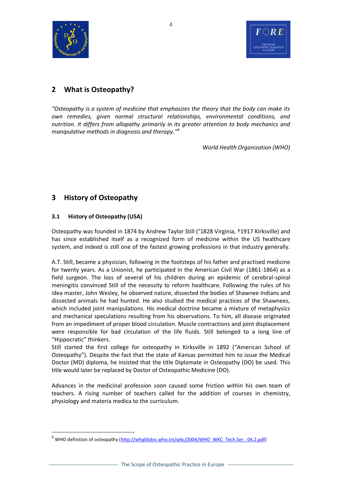



## **2 What is Osteopathy?**

*"Osteopathy is a system of medicine that emphasizes the theory that the body can make its own remedies, given normal structural relationships, environmental conditions, and nutrition. It differs from allopathy primarily in its greater attention to body mechanics and manipulative methods in diagnosis and therapy."<sup>4</sup>*

*World Health Organization (WHO)*

## **3 History of Osteopathy**

#### **3.1 History of Osteopathy (USA)**

<u>.</u>

Osteopathy was founded in 1874 by Andrew Taylor Still (°1828 Virginia, †1917 Kirksville) and has since established itself as a recognized form of medicine within the US healthcare system, and indeed is still one of the fastest growing professions in that industry generally.

A.T. Still, became a physician, following in the footsteps of his father and practised medicine for twenty years. As a Unionist, he participated in the American Civil War (1861-1864) as a field surgeon. The loss of several of his children during an epidemic of cerebral-spinal meningitis convinced Still of the necessity to reform healthcare. Following the rules of his idea master, John Wesley, he observed nature, dissected the bodies of Shawnee Indians and dissected animals he had hunted. He also studied the medical practices of the Shawnees, which included joint manipulations. His medical doctrine became a mixture of metaphysics and mechanical speculations resulting from his observations. To him, all disease originated from an impediment of proper blood circulation. Muscle contractions and joint displacement were responsible for bad circulation of the life fluids. Still belonged to a long line of "Hippocratic" thinkers.

Still started the first college for osteopathy in Kirksville in 1892 ("American School of Osteopathy"). Despite the fact that the state of Kansas permitted him to issue the Medical Doctor (MD) diploma, he insisted that the title Diplomate in Osteopathy (DO) be used. This title would later be replaced by Doctor of Osteopathic Medicine (DO).

Advances in the medicinal profession soon caused some friction within his own team of teachers. A rising number of teachers called for the addition of courses in chemistry, physiology and materia medica to the curriculum.

<sup>&</sup>lt;sup>4</sup> WHO definition of osteopathy [\(http://whqlibdoc.who.int/wkc/2004/WHO\\_WKC\\_Tech.Ser.\\_04.2.pdf\)](http://whqlibdoc.who.int/wkc/2004/WHO_WKC_Tech.Ser._04.2.pdf)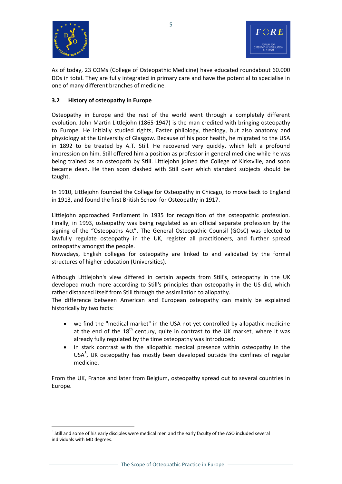

1



As of today, 23 COMs (College of Osteopathic Medicine) have educated roundabout 60.000 DOs in total. They are fully integrated in primary care and have the potential to specialise in one of many different branches of medicine.

#### **3.2 History of osteopathy in Europe**

Osteopathy in Europe and the rest of the world went through a completely different evolution. John Martin Littlejohn (1865-1947) is the man credited with bringing osteopathy to Europe. He initially studied rights, Easter philology, theology, but also anatomy and physiology at the University of Glasgow. Because of his poor health, he migrated to the USA in 1892 to be treated by A.T. Still. He recovered very quickly, which left a profound impression on him. Still offered him a position as professor in general medicine while he was being trained as an osteopath by Still. Littlejohn joined the College of Kirksville, and soon became dean. He then soon clashed with Still over which standard subjects should be taught.

In 1910, Littlejohn founded the College for Osteopathy in Chicago, to move back to England in 1913, and found the first British School for Osteopathy in 1917.

Littlejohn approached Parliament in 1935 for recognition of the osteopathic profession. Finally, in 1993, osteopathy was being regulated as an official separate profession by the signing of the "Osteopaths Act". The General Osteopathic Counsil (GOsC) was elected to lawfully regulate osteopathy in the UK, register all practitioners, and further spread osteopathy amongst the people.

Nowadays, English colleges for osteopathy are linked to and validated by the formal structures of higher education (Universities).

Although Littlejohn's view differed in certain aspects from Still's, osteopathy in the UK developed much more according to Still's principles than osteopathy in the US did, which rather distanced itself from Still through the assimilation to allopathy.

The difference between American and European osteopathy can mainly be explained historically by two facts:

- we find the "medical market" in the USA not yet controlled by allopathic medicine at the end of the  $18<sup>th</sup>$  century, quite in contrast to the UK market, where it was already fully regulated by the time osteopathy was introduced;
- in stark contrast with the allopathic medical presence within osteopathy in the USA<sup>5</sup>, UK osteopathy has mostly been developed outside the confines of regular medicine.

From the UK, France and later from Belgium, osteopathy spread out to several countries in Europe.

<sup>&</sup>lt;sup>5</sup> Still and some of his early disciples were medical men and the early faculty of the ASO included several individuals with MD degrees.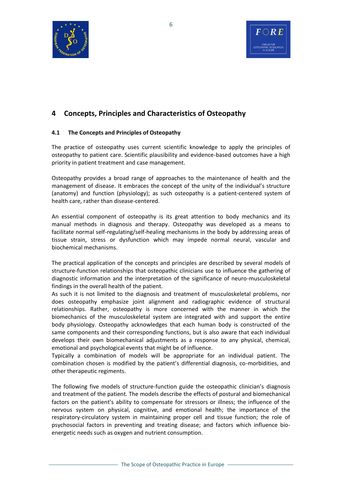



## **4 Concepts, Principles and Characteristics of Osteopathy**

#### **4.1 The Concepts and Principles of Osteopathy**

The practice of osteopathy uses current scientific knowledge to apply the principles of osteopathy to patient care. Scientific plausibility and evidence-based outcomes have a high priority in patient treatment and case management.

Osteopathy provides a broad range of approaches to the maintenance of health and the management of disease. It embraces the concept of the unity of the individual's structure (anatomy) and function (physiology); as such osteopathy is a patient-centered system of health care, rather than disease-centered.

An essential component of osteopathy is its great attention to body mechanics and its manual methods in diagnosis and therapy. Osteopathy was developed as a means to facilitate normal self-regulating/self-healing mechanisms in the body by addressing areas of tissue strain, stress or dysfunction which may impede normal neural, vascular and biochemical mechanisms.

The practical application of the concepts and principles are described by several models of structure-function relationships that osteopathic clinicians use to influence the gathering of diagnostic information and the interpretation of the significance of neuro-musculoskeletal findings in the overall health of the patient.

As such it is not limited to the diagnosis and treatment of musculoskeletal problems, nor does osteopathy emphasize joint alignment and radiographic evidence of structural relationships. Rather, osteopathy is more concerned with the manner in which the biomechanics of the musculoskeletal system are integrated with and support the entire body physiology. Osteopathy acknowledges that each human body is constructed of the same components and their corresponding functions, but is also aware that each individual develops their own biomechanical adjustments as a response to any physical, chemical, emotional and psychological events that might be of influence.

Typically a combination of models will be appropriate for an individual patient. The combination chosen is modified by the patient's differential diagnosis, co-morbidities, and other therapeutic regiments.

The following five models of structure-function guide the osteopathic clinician's diagnosis and treatment of the patient. The models describe the effects of postural and biomechanical factors on the patient's ability to compensate for stressors or illness; the influence of the nervous system on physical, cognitive, and emotional health; the importance of the respiratory-circulatory system in maintaining proper cell and tissue function; the role of psychosocial factors in preventing and treating disease; and factors which influence bioenergetic needs such as oxygen and nutrient consumption.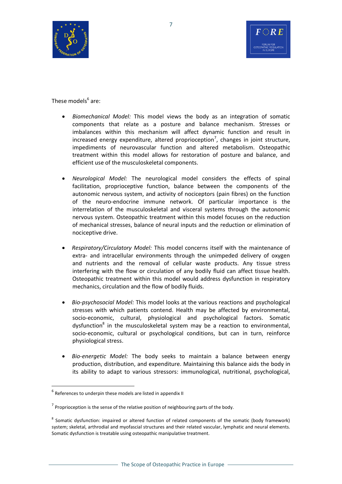



These models<sup>6</sup> are:

- *Biomechanical Model:* This model views the body as an integration of somatic components that relate as a posture and balance mechanism. Stresses or imbalances within this mechanism will affect dynamic function and result in increased energy expenditure, altered proprioception<sup>7</sup>, changes in joint structure, impediments of neurovascular function and altered metabolism. Osteopathic treatment within this model allows for restoration of posture and balance, and efficient use of the musculoskeletal components.
- *Neurological Model:* The neurological model considers the effects of spinal facilitation, proprioceptive function, balance between the components of the autonomic nervous system, and activity of nociceptors (pain fibres) on the function of the neuro-endocrine immune network. Of particular importance is the interrelation of the musculoskeletal and visceral systems through the autonomic nervous system. Osteopathic treatment within this model focuses on the reduction of mechanical stresses, balance of neural inputs and the reduction or elimination of nociceptive drive.
- *Respiratory/Circulatory Model:* This model concerns itself with the maintenance of extra- and intracellular environments through the unimpeded delivery of oxygen and nutrients and the removal of cellular waste products. Any tissue stress interfering with the flow or circulation of any bodily fluid can affect tissue health. Osteopathic treatment within this model would address dysfunction in respiratory mechanics, circulation and the flow of bodily fluids.
- *Bio-psychosocial Model:* This model looks at the various reactions and psychological stresses with which patients contend. Health may be affected by environmental, socio-economic, cultural, physiological and psychological factors. Somatic dysfunction<sup>8</sup> in the musculoskeletal system may be a reaction to environmental, socio-economic, cultural or psychological conditions, but can in turn, reinforce physiological stress.
- *Bio-energetic Model:* The body seeks to maintain a balance between energy production, distribution, and expenditure. Maintaining this balance aids the body in its ability to adapt to various stressors: immunological, nutritional, psychological,

1

 $<sup>6</sup>$  References to underpin these models are listed in appendix II</sup>

 $^7$  Proprioception is the sense of the relative position of neighbouring parts of the body.

<sup>&</sup>lt;sup>8</sup> Somatic dysfunction: impaired or altered function of related components of the somatic (body framework) system; skeletal, arthrodial and myofascial structures and their related vascular, lymphatic and neural elements. Somatic dysfunction is treatable using osteopathic manipulative treatment.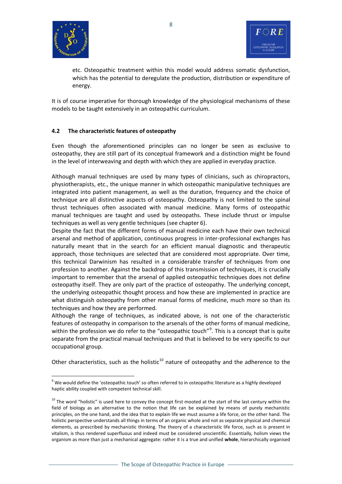



etc. Osteopathic treatment within this model would address somatic dysfunction, which has the potential to deregulate the production, distribution or expenditure of energy.

It is of course imperative for thorough knowledge of the physiological mechanisms of these models to be taught extensively in an osteopathic curriculum.

#### **4.2 The characteristic features of osteopathy**

Even though the aforementioned principles can no longer be seen as exclusive to osteopathy, they are still part of its conceptual framework and a distinction might be found in the level of interweaving and depth with which they are applied in everyday practice.

Although manual techniques are used by many types of clinicians, such as chiropractors, physiotherapists, etc., the unique manner in which osteopathic manipulative techniques are integrated into patient management, as well as the duration, frequency and the choice of technique are all distinctive aspects of osteopathy. Osteopathy is not limited to the spinal thrust techniques often associated with manual medicine. Many forms of osteopathic manual techniques are taught and used by osteopaths. These include thrust or impulse techniques as well as very gentle techniques (see chapter 6).

Despite the fact that the different forms of manual medicine each have their own technical arsenal and method of application, continuous progress in inter-professional exchanges has naturally meant that in the search for an efficient manual diagnostic and therapeutic approach, those techniques are selected that are considered most appropriate. Over time, this technical Darwinism has resulted in a considerable transfer of techniques from one profession to another. Against the backdrop of this transmission of techniques, it is crucially important to remember that the arsenal of applied osteopathic techniques does not define osteopathy itself. They are only part of the practice of osteopathy. The underlying concept, the underlying osteopathic thought process and how these are implemented in practice are what distinguish osteopathy from other manual forms of medicine, much more so than its techniques and how they are performed.

Although the range of techniques, as indicated above, is not one of the characteristic features of osteopathy in comparison to the arsenals of the other forms of manual medicine, within the profession we do refer to the "osteopathic touch"<sup>9</sup>. This is a concept that is quite separate from the practical manual techniques and that is believed to be very specific to our occupational group.

Other characteristics, such as the holistic $10$  nature of osteopathy and the adherence to the

<sup>1</sup> <sup>9</sup> We would define the 'osteopathic touch' so often referred to in osteopathic literature as a highly developed haptic ability coupled with competent technical skill.

 $10$  The word "holistic" is used here to convey the concept first mooted at the start of the last century within the field of biology as an alternative to the notion that life can be explained by means of purely mechanistic principles, on the one hand, and the idea that to explain life we must assume a life force, on the other hand. The holistic perspective understands all things in terms of an organic whole and not as separate physical and chemical elements, as prescribed by mechanistic thinking. The theory of a characteristic life force, such as is present in vitalism, is thus rendered superfluous and indeed must be considered unscientific. Essentially, holism views the organism as more than just a mechanical aggregate: rather it is a true and unified **whole**, hierarchically organised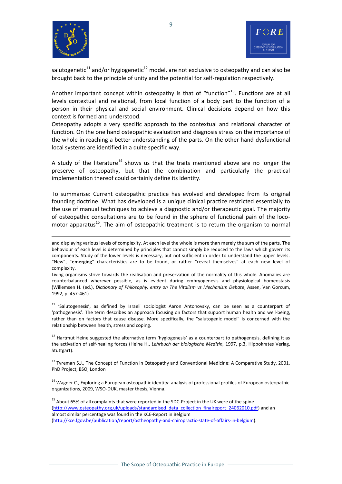

<u>.</u>



salutogenetic<sup>11</sup> and/or hygiogenetic<sup>12</sup> model, are not exclusive to osteopathy and can also be brought back to the principle of unity and the potential for self-regulation respectively.

Another important concept within osteopathy is that of "function"<sup>13</sup>. Functions are at all levels contextual and relational, from local function of a body part to the function of a person in their physical and social environment. Clinical decisions depend on how this context is formed and understood.

Osteopathy adopts a very specific approach to the contextual and relational character of function. On the one hand osteopathic evaluation and diagnosis stress on the importance of the whole in reaching a better understanding of the parts. On the other hand dysfunctional local systems are identified in a quite specific way.

A study of the literature<sup>14</sup> shows us that the traits mentioned above are no longer the preserve of osteopathy, but that the combination and particularly the practical implementation thereof could certainly define its identity.

To summarise: Current osteopathic practice has evolved and developed from its original founding doctrine. What has developed is a unique clinical practice restricted essentially to the use of manual techniques to achieve a diagnostic and/or therapeutic goal. The majority of osteopathic consultations are to be found in the sphere of functional pain of the locomotor apparatus<sup>15</sup>. The aim of osteopathic treatment is to return the organism to normal

<sup>11</sup> 'Salutogenesis', as defined by Israeli sociologist Aaron Antonovsky, can be seen as a counterpart of 'pathogenesis'. The term describes an approach focusing on factors that support human [health](http://en.wikipedia.org/wiki/Health) and well-being, rather than on factors that cause disease. More specifically, the "salutogenic model" is concerned with the relationship between health, stress and coping.

<sup>12</sup> Hartmut Heine suggested the alternative term 'hygiogenesis' as a counterpart to pathogenesis, defining it as the activation of self-healing forces (Heine H., *Lehrbuch der biologische Medizin,* 1997, p.3, Hippokrates Verlag, Stuttgart).

 $13$  Tyreman S.J., The Concept of Function in Osteopathy and Conventional Medicine: A Comparative Study, 2001, PhD Project, BSO, London

<sup>14</sup> Wagner C., Exploring a European osteopathic identity: analysis of professional profiles of European osteopathic organizations, 2009, WSO-DUK, master thesis, Vienna.

<sup>15</sup> About 65% of all complaints that were reported in the SDC-Project in the UK were of the spine [\(http://www.osteopathy.org.uk/uploads/standardised\\_data\\_collection\\_finalreport\\_24062010.pdf\)](http://www.osteopathy.org.uk/uploads/standardised_data_collection_finalreport_24062010.pdf) and an almost similar percentage was found in the KCE-Report in Belgium [\(http://kce.fgov.be/publication/report/ostheopathy-and-chiropractic-state-of-affairs-in-belgium\)](http://kce.fgov.be/publication/report/ostheopathy-and-chiropractic-state-of-affairs-in-belgium).

and displaying various levels of complexity. At each level the whole is more than merely the sum of the parts. The behaviour of each level is determined by principles that cannot simply be reduced to the laws which govern its components. Study of the lower levels is necessary, but not sufficient in order to understand the upper levels. "New", "**emerging**" characteristics are to be found, or rather "reveal themselves" at each new level of complexity.

Living organisms strive towards the realisation and preservation of the normality of this whole. Anomalies are counterbalanced wherever possible, as is evident during embryogenesis and physiological homeostasis (Willemsen H. (ed.), *Dictionary of Philosophy, entry on The Vitalism vs Mechanism Debate*, Assen, Van Gorcum, 1992, p. 457-461)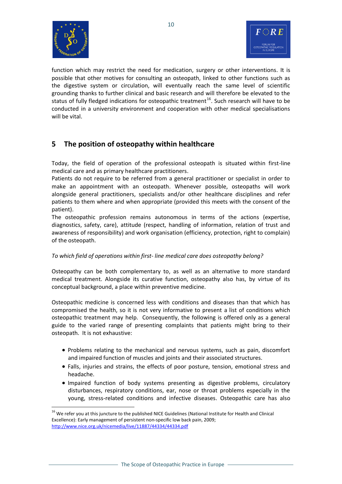

<u>.</u>



function which may restrict the need for medication, surgery or other interventions. It is possible that other motives for consulting an osteopath, linked to other functions such as the digestive system or circulation, will eventually reach the same level of scientific grounding thanks to further clinical and basic research and will therefore be elevated to the status of fully fledged indications for osteopathic treatment<sup>16</sup>. Such research will have to be conducted in a university environment and cooperation with other medical specialisations will be vital.

## **5 The position of osteopathy within healthcare**

Today, the field of operation of the professional osteopath is situated within first-line medical care and as primary healthcare practitioners.

Patients do not require to be referred from a general practitioner or specialist in order to make an appointment with an osteopath. Whenever possible, osteopaths will work alongside general practitioners, specialists and/or other healthcare disciplines and refer patients to them where and when appropriate (provided this meets with the consent of the patient).

The osteopathic profession remains autonomous in terms of the actions (expertise, diagnostics, safety, care), attitude (respect, handling of information, relation of trust and awareness of responsibility) and work organisation (efficiency, protection, right to complain) of the osteopath.

#### *To which field of operations within first- line medical care does osteopathy belong?*

Osteopathy can be both complementary to, as well as an alternative to more standard medical treatment. Alongside its curative function, osteopathy also has, by virtue of its conceptual background, a place within preventive medicine.

Osteopathic medicine is concerned less with conditions and diseases than that which has compromised the health, so it is not very informative to present a list of conditions which osteopathic treatment may help. Consequently, the following is offered only as a general guide to the varied range of presenting complaints that patients might bring to their osteopath. It is not exhaustive:

- Problems relating to the mechanical and nervous systems, such as pain, discomfort and impaired function of muscles and joints and their associated structures.
- Falls, injuries and strains, the effects of poor posture, tension, emotional stress and headache.
- Impaired function of body systems presenting as digestive problems, circulatory disturbances, respiratory conditions, ear, nose or throat problems especially in the young, stress-related conditions and infective diseases. Osteopathic care has also

<sup>&</sup>lt;sup>16</sup> We refer you at this juncture to the published NICE Guidelines (National Institute for Health and Clinical Excellence): Early management of persistent non-specific low back pain, 2009; <http://www.nice.org.uk/nicemedia/live/11887/44334/44334.pdf>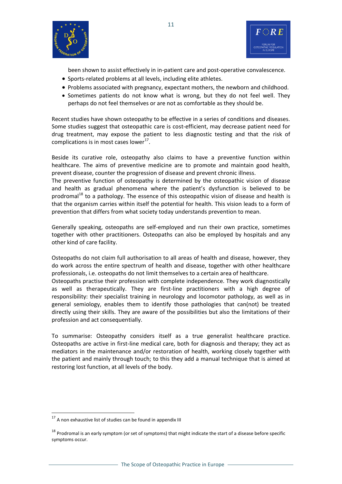



been shown to assist effectively in in-patient care and post-operative convalescence.

- Sports-related problems at all levels, including elite athletes.
- Problems associated with pregnancy, expectant mothers, the newborn and childhood.
- Sometimes patients do not know what is wrong, but they do not feel well. They perhaps do not feel themselves or are not as comfortable as they should be.

Recent studies have shown osteopathy to be effective in a series of conditions and diseases. Some studies suggest that osteopathic care is cost-efficient, may decrease patient need for drug treatment, may expose the patient to less diagnostic testing and that the risk of complications is in most cases lower<sup>17</sup>.

Beside its curative role, osteopathy also claims to have a preventive function within healthcare. The aims of preventive medicine are to promote and maintain good health, prevent disease, counter the progression of disease and prevent chronic illness.

The preventive function of osteopathy is determined by the osteopathic vision of disease and health as gradual phenomena where the patient's dysfunction is believed to be prodromal<sup>18</sup> to a pathology. The essence of this osteopathic vision of disease and health is that the organism carries within itself the potential for health. This vision leads to a form of prevention that differs from what society today understands prevention to mean.

Generally speaking, osteopaths are self-employed and run their own practice, sometimes together with other practitioners. Osteopaths can also be employed by hospitals and any other kind of care facility.

Osteopaths do not claim full authorisation to all areas of health and disease, however, they do work across the entire spectrum of health and disease, together with other healthcare professionals, i.e. osteopaths do not limit themselves to a certain area of healthcare.

Osteopaths practise their profession with complete independence. They work diagnostically as well as therapeutically. They are first-line practitioners with a high degree of responsibility: their specialist training in neurology and locomotor pathology, as well as in general semiology, enables them to identify those pathologies that can(not) be treated directly using their skills. They are aware of the possibilities but also the limitations of their profession and act consequentially.

To summarise: Osteopathy considers itself as a true generalist healthcare practice. Osteopaths are active in first-line medical care, both for diagnosis and therapy; they act as mediators in the maintenance and/or restoration of health, working closely together with the patient and mainly through touch; to this they add a manual technique that is aimed at restoring lost function, at all levels of the body.

<u>.</u>

<sup>&</sup>lt;sup>17</sup> A non exhaustive list of studies can be found in appendix III

<sup>&</sup>lt;sup>18</sup> Prodromal is an earl[y symptom](http://en.wikipedia.org/wiki/Symptom) (or set of symptoms) that might indicate the start of [a disease](http://en.wikipedia.org/wiki/Disease) before specific symptoms occur.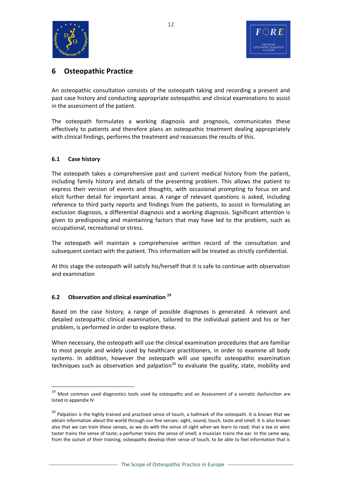

## **6 Osteopathic Practice**

An osteopathic consultation consists of the osteopath taking and recording a present and past case history and conducting appropriate osteopathic and clinical examinations to assist in the assessment of the patient.

The osteopath formulates a working diagnosis and prognosis, communicates these effectively to patients and therefore plans an osteopathic treatment dealing appropriately with clinical findings, performs the treatment and reassesses the results of this.

#### **6.1 Case history**

1

The osteopath takes a comprehensive past and current medical history from the patient, including family history and details of the presenting problem. This allows the patient to express their version of events and thoughts, with occasional prompting to focus on and elicit further detail for important areas. A range of relevant questions is asked, including reference to third party reports and findings from the patients, to assist in formulating an exclusion diagnosis, a differential diagnosis and a working diagnosis. Significant attention is given to predisposing and maintaining factors that may have led to the problem, such as occupational, recreational or stress.

The osteopath will maintain a comprehensive written record of the consultation and subsequent contact with the patient. This information will be treated as strictly confidential.

At this stage the osteopath will satisfy his/herself that it is safe to continue with observation and examination

#### **6.2 Observation and clinical examination <sup>19</sup>**

Based on the case history, a range of possible diagnoses is generated. A relevant and detailed osteopathic clinical examination, tailored to the individual patient and his or her problem, is performed in order to explore these.

When necessary, the osteopath will use the clinical examination procedures that are familiar to most people and widely used by healthcare practitioners, in order to examine all body systems. In addition, however the osteopath will use specific osteopathic examination techniques such as observation and palpation<sup>20</sup> to evaluate the quality, state, mobility and

<sup>&</sup>lt;sup>19</sup> Most common used diagnostics tools used by osteopaths and an Assessment of a somatic dysfunction are listed in appendix IV

<sup>&</sup>lt;sup>20</sup> Palpation is the highly trained and practised sense of touch, a hallmark of the osteopath. It is known that we obtain information about the world through our five senses: sight, sound, touch, taste and smell. It is also known also that we can train these senses, as we do with the sense of sight when we learn to read; that a tea or wine taster trains the sense of taste; a perfumer trains the sense of smell; a musician trains the ear. In the same way, from the outset of their training, osteopaths develop their sense of touch, to be able to feel information that is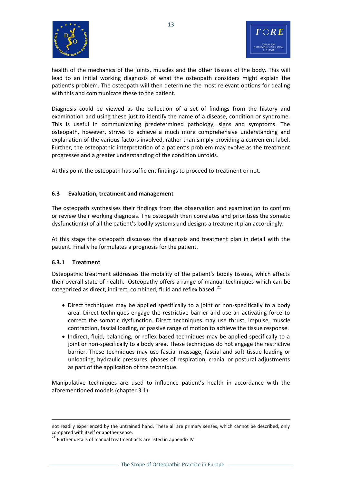



health of the mechanics of the joints, muscles and the other tissues of the body. This will lead to an initial working diagnosis of what the osteopath considers might explain the patient's problem. The osteopath will then determine the most relevant options for dealing with this and communicate these to the patient.

Diagnosis could be viewed as the collection of a set of findings from the history and examination and using these just to identify the name of a disease, condition or syndrome. This is useful in communicating predetermined pathology, signs and symptoms. The osteopath, however, strives to achieve a much more comprehensive understanding and explanation of the various factors involved, rather than simply providing a convenient label. Further, the osteopathic interpretation of a patient's problem may evolve as the treatment progresses and a greater understanding of the condition unfolds.

At this point the osteopath has sufficient findings to proceed to treatment or not.

#### **6.3 Evaluation, treatment and management**

The osteopath synthesises their findings from the observation and examination to confirm or review their working diagnosis. The osteopath then correlates and prioritises the somatic dysfunction(s) of all the patient's bodily systems and designs a treatment plan accordingly.

At this stage the osteopath discusses the diagnosis and treatment plan in detail with the patient. Finally he formulates a prognosis for the patient.

#### **6.3.1 Treatment**

<u>.</u>

Osteopathic treatment addresses the mobility of the patient's bodily tissues, which affects their overall state of health. Osteopathy offers a range of manual techniques which can be categorized as direct, indirect, combined, fluid and reflex based.<sup>21</sup>

- Direct techniques may be applied specifically to a joint or non-specifically to a body area. Direct techniques engage the restrictive barrier and use an activating force to correct the somatic dysfunction. Direct techniques may use thrust, impulse, muscle contraction, fascial loading, or passive range of motion to achieve the tissue response.
- Indirect, fluid, balancing, or reflex based techniques may be applied specifically to a joint or non-specifically to a body area. These techniques do not engage the restrictive barrier. These techniques may use fascial massage, fascial and soft-tissue loading or unloading, hydraulic pressures, phases of respiration, cranial or postural adjustments as part of the application of the technique.

Manipulative techniques are used to influence patient's health in accordance with the aforementioned models (chapter 3.1).

not readily experienced by the untrained hand. These all are primary senses, which cannot be described, only compared with itself or another sense.

<sup>&</sup>lt;sup>21</sup> Further details of manual treatment acts are listed in appendix IV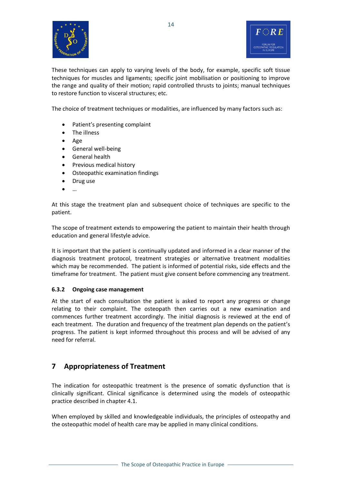



These techniques can apply to varying levels of the body, for example, specific soft tissue techniques for muscles and ligaments; specific joint mobilisation or positioning to improve the range and quality of their motion; rapid controlled thrusts to joints; manual techniques to restore function to visceral structures; etc.

The choice of treatment techniques or modalities, are influenced by many factors such as:

- Patient's presenting complaint
- The illness
- Age
- General well-being
- General health
- Previous medical history
- Osteopathic examination findings
- Drug use
- <sup>●</sup> …

At this stage the treatment plan and subsequent choice of techniques are specific to the patient.

The scope of treatment extends to empowering the patient to maintain their health through education and general lifestyle advice.

It is important that the patient is continually updated and informed in a clear manner of the diagnosis treatment protocol, treatment strategies or alternative treatment modalities which may be recommended. The patient is informed of potential risks, side effects and the timeframe for treatment. The patient must give consent before commencing any treatment.

#### **6.3.2 Ongoing case management**

At the start of each consultation the patient is asked to report any progress or change relating to their complaint. The osteopath then carries out a new examination and commences further treatment accordingly. The initial diagnosis is reviewed at the end of each treatment. The duration and frequency of the treatment plan depends on the patient's progress. The patient is kept informed throughout this process and will be advised of any need for referral.

## **7 Appropriateness of Treatment**

The indication for osteopathic treatment is the presence of somatic dysfunction that is clinically significant. Clinical significance is determined using the models of osteopathic practice described in chapter 4.1.

When employed by skilled and knowledgeable individuals, the principles of osteopathy and the osteopathic model of health care may be applied in many clinical conditions.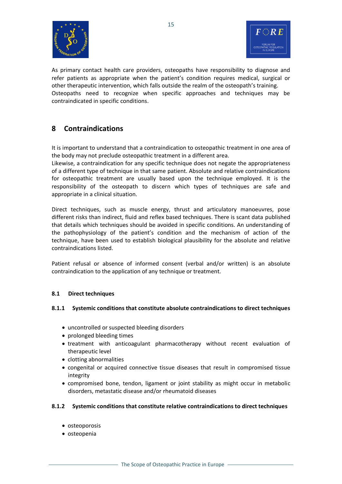



As primary contact health care providers, osteopaths have responsibility to diagnose and refer patients as appropriate when the patient's condition requires medical, surgical or other therapeutic intervention, which falls outside the realm of the osteopath's training. Osteopaths need to recognize when specific approaches and techniques may be contraindicated in specific conditions.

## **8 Contraindications**

It is important to understand that a contraindication to osteopathic treatment in one area of the body may not preclude osteopathic treatment in a different area.

Likewise, a contraindication for any specific technique does not negate the appropriateness of a different type of technique in that same patient. Absolute and relative contraindications for osteopathic treatment are usually based upon the technique employed. It is the responsibility of the osteopath to discern which types of techniques are safe and appropriate in a clinical situation.

Direct techniques, such as muscle energy, thrust and articulatory manoeuvres, pose different risks than indirect, fluid and reflex based techniques. There is scant data published that details which techniques should be avoided in specific conditions. An understanding of the pathophysiology of the patient's condition and the mechanism of action of the technique, have been used to establish biological plausibility for the absolute and relative contraindications listed.

Patient refusal or absence of informed consent (verbal and/or written) is an absolute contraindication to the application of any technique or treatment.

#### **8.1 Direct techniques**

#### **8.1.1 Systemic conditions that constitute absolute contraindications to direct techniques**

- uncontrolled or suspected bleeding disorders
- prolonged bleeding times
- treatment with anticoagulant pharmacotherapy without recent evaluation of therapeutic level
- clotting abnormalities
- congenital or acquired connective tissue diseases that result in compromised tissue integrity
- compromised bone, tendon, ligament or joint stability as might occur in metabolic disorders, metastatic disease and/or rheumatoid diseases

#### **8.1.2 Systemic conditions that constitute relative contraindications to direct techniques**

- osteoporosis
- osteopenia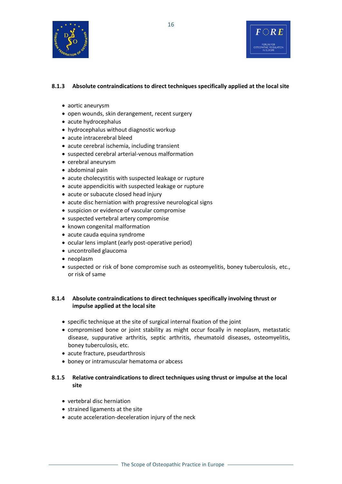

#### **8.1.3 Absolute contraindications to direct techniques specifically applied at the local site**

- aortic aneurysm
- open wounds, skin derangement, recent surgery
- acute hydrocephalus
- hydrocephalus without diagnostic workup
- acute intracerebral bleed
- acute cerebral ischemia, including transient
- suspected cerebral arterial-venous malformation
- cerebral aneurysm
- abdominal pain
- acute cholecystitis with suspected leakage or rupture
- acute appendicitis with suspected leakage or rupture
- acute or subacute closed head injury
- acute disc herniation with progressive neurological signs
- suspicion or evidence of vascular compromise
- suspected vertebral artery compromise
- known congenital malformation
- acute cauda equina syndrome
- ocular lens implant (early post-operative period)
- uncontrolled glaucoma
- neoplasm
- suspected or risk of bone compromise such as osteomyelitis, boney tuberculosis, etc., or risk of same

#### **8.1.4 Absolute contraindications to direct techniques specifically involving thrust or impulse applied at the local site**

- specific technique at the site of surgical internal fixation of the joint
- compromised bone or joint stability as might occur focally in neoplasm, metastatic disease, suppurative arthritis, septic arthritis, rheumatoid diseases, osteomyelitis, boney tuberculosis, etc.
- acute fracture, pseudarthrosis
- boney or intramuscular hematoma or abcess

#### **8.1.5 Relative contraindications to direct techniques using thrust or impulse at the local site**

- vertebral disc herniation
- strained ligaments at the site
- acute acceleration-deceleration injury of the neck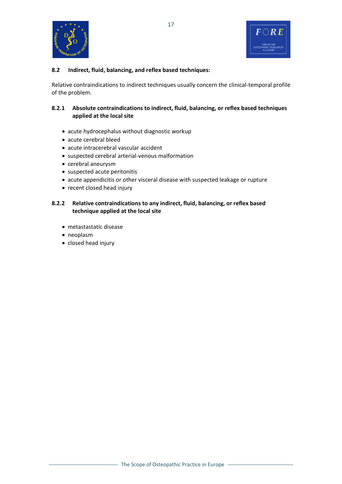

#### **8.2 Indirect, fluid, balancing, and reflex based techniques:**

Relative contraindications to indirect techniques usually concern the clinical-temporal profile of the problem.

#### **8.2.1 Absolute contraindications to indirect, fluid, balancing, or reflex based techniques applied at the local site**

- acute hydrocephalus without diagnostic workup
- acute cerebral bleed
- acute intracerebral vascular accident
- suspected cerebral arterial-venous malformation
- cerebral aneurysm
- suspected acute peritonitis
- acute appendicitis or other visceral disease with suspected leakage or rupture
- recent closed head injury

#### **8.2.2 Relative contraindications to any indirect, fluid, balancing, or reflex based technique applied at the local site**

- metastastatic disease
- neoplasm
- closed head injury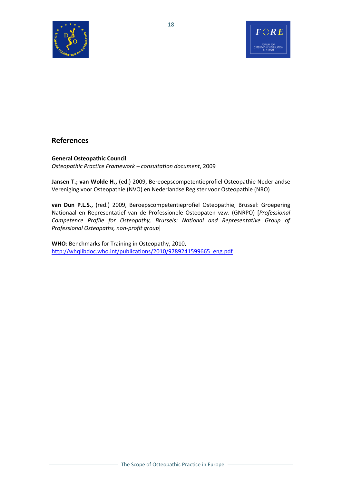



## **References**

#### **General Osteopathic Council** *Osteopathic Practice Framework – consultation document*, 2009

**Jansen T.; van Wolde H.,** (ed.) 2009, Bereoepscompetentieprofiel Osteopathie Nederlandse Vereniging voor Osteopathie (NVO) en Nederlandse Register voor Osteopathie (NRO)

**van Dun P.L.S.,** (red.) 2009, Beroepscompetentieprofiel Osteopathie, Brussel: Groepering Nationaal en Representatief van de Professionele Osteopaten vzw. (GNRPO) [*Professional Competence Profile for Osteopathy, Brussels: National and Representative Group of Professional Osteopaths, non-profit group*]

**WHO**: Benchmarks for Training in Osteopathy, 2010, [http://whqlibdoc.who.int/publications/2010/9789241599665\\_eng.pdf](http://whqlibdoc.who.int/publications/2010/9789241599665_eng.pdf)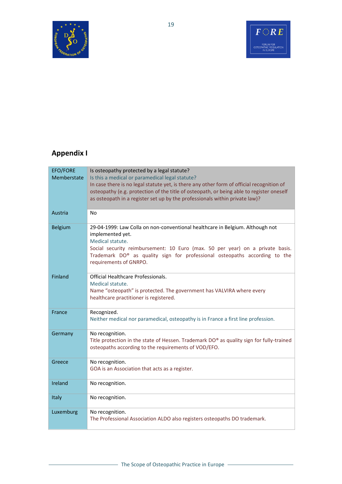



## **Appendix I**

| <b>EFO/FORE</b><br>Memberstate | Is osteopathy protected by a legal statute?<br>Is this a medical or paramedical legal statute?<br>In case there is no legal statute yet, is there any other form of official recognition of<br>osteopathy (e.g. protection of the title of osteopath, or being able to register oneself<br>as osteopath in a register set up by the professionals within private law)? |
|--------------------------------|------------------------------------------------------------------------------------------------------------------------------------------------------------------------------------------------------------------------------------------------------------------------------------------------------------------------------------------------------------------------|
| Austria                        | N <sub>0</sub>                                                                                                                                                                                                                                                                                                                                                         |
| <b>Belgium</b>                 | 29-04-1999: Law Colla on non-conventional healthcare in Belgium. Although not<br>implemented yet.<br>Medical statute.<br>Social security reimbursement: 10 Euro (max. 50 per year) on a private basis.<br>Trademark DO® as quality sign for professional osteopaths according to the<br>requirements of GNRPO.                                                         |
| Finland                        | Official Healthcare Professionals.<br>Medical statute.<br>Name "osteopath" is protected. The government has VALVIRA where every<br>healthcare practitioner is registered.                                                                                                                                                                                              |
| France                         | Recognized.<br>Neither medical nor paramedical, osteopathy is in France a first line profession.                                                                                                                                                                                                                                                                       |
| Germany                        | No recognition.<br>Title protection in the state of Hessen. Trademark DO® as quality sign for fully-trained<br>osteopaths according to the requirements of VOD/EFO.                                                                                                                                                                                                    |
| Greece                         | No recognition.<br>GOA is an Association that acts as a register.                                                                                                                                                                                                                                                                                                      |
| Ireland                        | No recognition.                                                                                                                                                                                                                                                                                                                                                        |
| Italy                          | No recognition.                                                                                                                                                                                                                                                                                                                                                        |
| Luxemburg                      | No recognition.<br>The Professional Association ALDO also registers osteopaths DO trademark.                                                                                                                                                                                                                                                                           |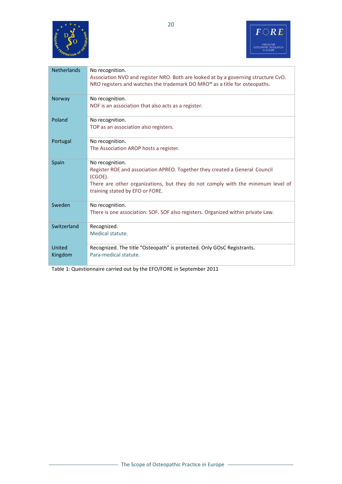



| <b>Netherlands</b> | No recognition.<br>Association NVO and register NRO. Both are looked at by a governing structure CvO.<br>NRO registers and watches the trademark DO MRO® as a title for osteopaths.                                             |
|--------------------|---------------------------------------------------------------------------------------------------------------------------------------------------------------------------------------------------------------------------------|
| Norway             | No recognition.<br>NOF is an association that also acts as a register.                                                                                                                                                          |
| Poland             | No recognition.<br>TOP as an association also registers.                                                                                                                                                                        |
| Portugal           | No recognition.<br>The Association AROP hosts a register.                                                                                                                                                                       |
| Spain              | No recognition.<br>Register ROE and association APREO. Together they created a General Council<br>(CGOE).<br>There are other organizations, but they do not comply with the minimum level of<br>training stated by EFO or FORE. |
| Sweden             | No recognition.<br>There is one association: SOF. SOF also registers. Organized within private Law.                                                                                                                             |
| Switzerland        | Recognized.<br>Medical statute.                                                                                                                                                                                                 |
| United<br>Kingdom  | Recognized. The title "Osteopath" is protected. Only GOsC Registrants.<br>Para-medical statute.                                                                                                                                 |

Table 1: Questionnaire carried out by the EFO/FORE in September 2011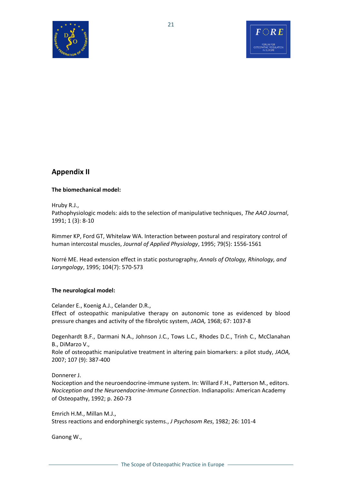



## **Appendix II**

#### **The biomechanical model:**

Hruby R.J.,

Pathophysiologic models: aids to the selection of manipulative techniques, *The AAO Journal*, 1991; 1 (3): 8-10

Rimmer KP, Ford GT, Whitelaw WA. Interaction between postural and respiratory control of human intercostal muscles, *Journal of Applied Physiology*, 1995; 79(5): 1556-1561

Norré ME. Head extension effect in static posturography, *Annals of Otology, Rhinology, and Laryngology*, 1995; 104(7): 570-573

#### **The neurological model:**

Celander E., Koenig A.J., Celander D.R., Effect of osteopathic manipulative therapy on autonomic tone as evidenced by blood pressure changes and activity of the fibrolytic system, *JAOA,* 1968; 67: 1037-8

Degenhardt B.F., Darmani N.A., Johnson J.C., Tows L.C., Rhodes D.C., Trinh C., McClanahan B., DiMarzo V.,

Role of osteopathic manipulative treatment in altering pain biomarkers: a pilot study, *JAOA,*  2007; 107 (9): 387-400

Donnerer J.

Nociception and the neuroendocrine-immune system. In: Willard F.H., Patterson M., editors. *Nociception and the Neuroendocrine-Immune Connection*. Indianapolis: American Academy of Osteopathy, 1992; p. 260-73

Emrich H.M., Millan M.J., Stress reactions and endorphinergic systems., *J Psychosom Res*, 1982; 26: 101-4

Ganong W.,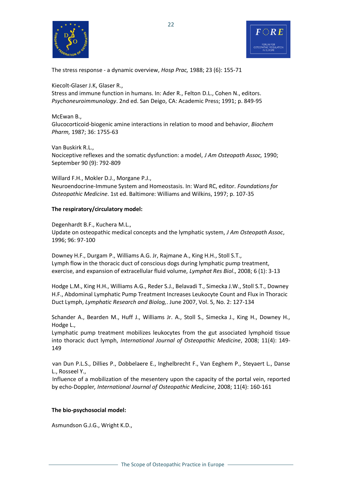



The stress response - a dynamic overview, *Hosp Prac,* 1988; 23 (6): 155-71

Kiecolt-Glaser J.K, Glaser R., Stress and immune function in humans. In: Ader R., Felton D.L., Cohen N., editors. *Psychoneuroimmunology*. 2nd ed. San Deigo, CA: Academic Press; 1991; p. 849-95

McEwan B., Glucocorticoid-biogenic amine interactions in relation to mood and behavior, *Biochem Pharm,* 1987; 36: 1755-63

Van Buskirk R.L., Nociceptive reflexes and the somatic dysfunction: a model, *J Am Osteopath Assoc,* 1990; September 90 (9): 792-809

Willard F.H., Mokler D.J., Morgane P.J., Neuroendocrine-Immune System and Homeostasis. In: Ward RC, editor. *Foundations for Osteopathic Medicine*. 1st ed. Baltimore: Williams and Wilkins, 1997; p. 107-35

#### **The respiratory/circulatory model:**

Degenhardt B.F., Kuchera M.L., Update on osteopathic medical concepts and the lymphatic system, *J Am Osteopath Assoc*, 1996; 96: 97-100

Downey H.F., Durgam P., Williams A.G. Jr, Rajmane A., King H.H., Stoll S.T., Lymph flow in the thoracic duct of conscious dogs during lymphatic pump treatment, exercise, and expansion of extracellular fluid volume, *Lymphat Res Biol*., 2008; 6 (1): 3-13

Hodge L.M., King H.H., Williams A.G., Reder S.J., Belavadi T., Simecka J.W., Stoll S.T., Downey H.F., Abdominal Lymphatic Pump Treatment Increases Leukocyte Count and Flux in Thoracic Duct Lymph, *Lymphatic Research and Biolog,*. June 2007, Vol. 5, No. 2: 127-134

Schander A., Bearden M., Huff J., Williams Jr. A., Stoll S., Simecka J., King H., Downey H., Hodge L.,

Lymphatic pump treatment mobilizes leukocytes from the gut associated lymphoid tissue into thoracic duct lymph, *International Journal of Osteopathic Medicine*, 2008; 11(4): 149- 149

van Dun P.L.S., Dillies P., Dobbelaere E., Inghelbrecht F., Van Eeghem P., Steyaert L., Danse L., Rosseel Y.,

Influence of a mobilization of the mesentery upon the capacity of the portal vein, reported by echo-Doppler*, International Journal of Osteopathic Medicine*, 2008; 11(4): 160-161

#### **The bio-psychosocial model:**

Asmundson G.J.G., Wright K.D.,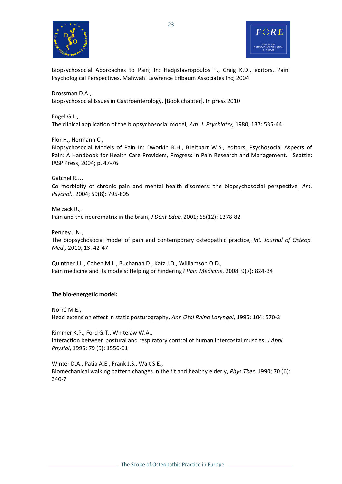



Biopsychosocial Approaches to Pain; In: Hadjistavropoulos T., Craig K.D., editors, Pain: Psychological Perspectives. Mahwah: Lawrence Erlbaum Associates Inc; 2004

#### Drossman D.A.,

Biopsychosocial Issues in Gastroenterology. [Book chapter]. In press 2010

#### Engel G.L.,

The clinical application of the biopsychosocial model, *Am. J. Psychiatry,* 1980, 137: 535-44

#### Flor H., Hermann C.,

Biopsychosocial Models of Pain In: Dworkin R.H., Breitbart W.S., editors, Psychosocial Aspects of Pain: A Handbook for Health Care Providers, Progress in Pain Research and Management. Seattle: IASP Press, 2004; p. 47-76

Gatchel R.J.,

Co morbidity of chronic pain and mental health disorders: the biopsychosocial perspective, *Am. Psychol*., 2004; 59(8): 795-805

Melzack R., Pain and the neuromatrix in the brain, *J Dent Educ*, 2001; 65(12): 1378-82

Penney J.N., The biopsychosocial model of pain and contemporary osteopathic practice, *Int. Journal of Osteop. Med.,* 2010, 13: 42-47

Quintner J.L., Cohen M.L., Buchanan D., Katz J.D., Williamson O.D., Pain medicine and its models: Helping or hindering? *Pain Medicine*, 2008; 9(7): 824-34

#### **The bio-energetic model:**

Norré M.E.,

Head extension effect in static posturography, *Ann Otol Rhino Laryngol*, 1995; 104: 570-3

Rimmer K.P., Ford G.T., Whitelaw W.A., Interaction between postural and respiratory control of human intercostal muscles, *J Appl Physiol*, 1995; 79 (5): 1556-61

Winter D.A., Patia A.E., Frank J.S., Wait S.E., Biomechanical walking pattern changes in the fit and healthy elderly, *Phys Ther,* 1990; 70 (6): 340-7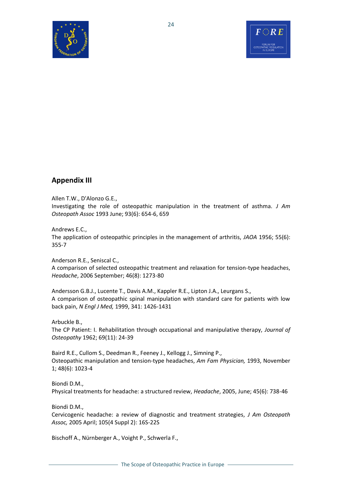



## **Appendix III**

#### Allen T.W., D'Alonzo G.E.,

Investigating the role of osteopathic manipulation in the treatment of asthma. *J Am Osteopath Assoc* 1993 June; 93(6): 654-6, 659

#### Andrews E.C.,

The application of osteopathic principles in the management of arthritis, *JAOA* 1956; 55(6): 355-7

Anderson R.E., Seniscal C., A comparison of selected osteopathic treatment and relaxation for tension-type headaches, *Headache*, 2006 September; 46(8): 1273-80

Andersson G.B.J., Lucente T., Davis A.M., Kappler R.E., Lipton J.A., Leurgans S., A comparison of osteopathic spinal manipulation with standard care for patients with low back pain, *N Engl J Med,* 1999, 341: 1426-1431

Arbuckle B.,

The CP Patient: I. Rehabilitation through occupational and manipulative therapy, *Journal of Osteopathy* 1962; 69(11): 24-39

Baird R.E., Cullom S., Deedman R., Feeney J., Kellogg J., Simning P., Osteopathic manipulation and tension-type headaches, *Am Fam Physician,* 1993, November 1; 48(6): 1023-4

Biondi D.M., Physical treatments for headache: a structured review, *Headache*, 2005, June; 45(6): 738-46

Biondi D.M.,

Cervicogenic headache: a review of diagnostic and treatment strategies, *J Am Osteopath Assoc,* 2005 April; 105(4 Suppl 2): 16S-22S

Bischoff A., Nürnberger A., Voight P., Schwerla F.,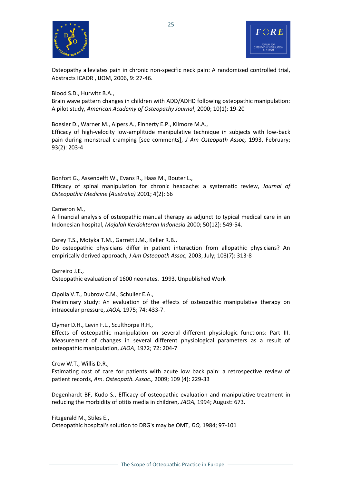



Osteopathy alleviates pain in chronic non-specific neck pain: A randomized controlled trial, Abstracts ICAOR , IJOM, 2006, 9: 27-46.

Blood S.D., Hurwitz B.A.,

Brain wave pattern changes in children with ADD/ADHD following osteopathic manipulation: A pilot study, *American Academy of Osteopathy Journal*, 2000; 10(1): 19-20

Boesler D., Warner M., Alpers A., Finnerty E.P., Kilmore M.A.,

Efficacy of high-velocity low-amplitude manipulative technique in subjects with low-back pain during menstrual cramping [see comments], *J Am Osteopath Assoc,* 1993, February; 93(2): 203-4

Bonfort G., Assendelft W., Evans R., Haas M., Bouter L.,

Efficacy of spinal manipulation for chronic headache: a systematic review, *Journal of Osteopathic Medicine (Australia)* 2001; 4(2): 66

Cameron M.,

A financial analysis of osteopathic manual therapy as adjunct to typical medical care in an Indonesian hospital, *Majalah Kerdokteran Indonesia* 2000; 50(12): 549-54.

Carey T.S., Motyka T.M., Garrett J.M., Keller R.B.,

Do osteopathic physicians differ in patient interaction from allopathic physicians? An empirically derived approach, *J Am Osteopath Assoc,* 2003, July; 103(7): 313-8

Carreiro J.E., Osteopathic evaluation of 1600 neonates. 1993, Unpublished Work

Cipolla V.T., Dubrow C.M., Schuller E.A.,

Preliminary study: An evaluation of the effects of osteopathic manipulative therapy on intraocular pressure, *JAOA,* 1975; 74: 433-7.

Clymer D.H., Levin F.L., Sculthorpe R.H.,

Effects of osteopathic manipulation on several different physiologic functions: Part III. Measurement of changes in several different physiological parameters as a result of osteopathic manipulation, *JAOA*, 1972; 72: 204-7

Crow W.T., Willis D.R.,

Estimating cost of care for patients with acute low back pain: a retrospective review of patient records, *Am. Osteopath. Assoc.,* 2009; 109 (4): 229-33

Degenhardt BF, Kudo S., Efficacy of osteopathic evaluation and manipulative treatment in reducing the morbidity of otitis media in children, *JAOA,* 1994; August: 673.

Fitzgerald M., Stiles E.,

Osteopathic hospital's solution to DRG's may be OMT, *DO,* 1984; 97-101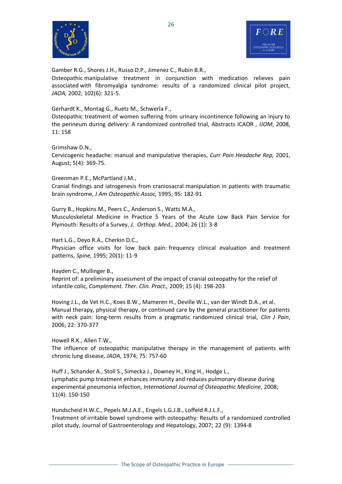



Gamber R.G., Shores J.H., Russo D.P., Jimenez C., Rubin B.R.,

Osteopathic manipulative treatment in conjunction with medication relieves pain associated with fibromyalgia syndrome: results of a randomized clinical pilot project, *JAOA,* 2002; 102(6): 321-5.

Gerhardt K., Montag G., Ruetz M., Schwerla F.,

Osteopathic treatment of women suffering from urinary incontinence following an injury to the perineum during delivery: A randomized controlled trial, Abstracts ICAOR , *IJOM*, 2008, 11: 158

Grimshaw D.N.,

Cervicogenic headache: manual and manipulative therapies, *Curr Pain Headache Rep,* 2001, August; 5(4): 369-75.

Greenman P.E., McPartland J.M.,

Cranial findings and iatrogenesis from craniosacral manipulation in patients with traumatic brain syndrome, *J Am Osteopathic Assoc,* 1995; 95: 182-91

Gurry B., Hopkins M., Peers C., Anderson S., Watts M.A., Musculoskeletal Medicine in Practice 5 Years of the Acute Low Back Pain Service for Plymouth: Results of a Survey, *J. Orthop. Med.,* 2004; 26 (1): 3-8

Hart L.G., Deyo R.A., Cherkin D.C., Physician office visits for low back pain: frequency clinical evaluation and treatment patterns, *Spine,* 1995; 20(1): 11-9

Hayden C., Mullinger B., Reprint of: a preliminary assessment of the impact of cranial osteopathy for the relief of infantile colic, *Complement. Ther. Clin. Pract.,* 2009; 15 (4): 198-203

Hoving J.L., de Vet H.C., Koes B.W., Mameren H., Deville W.L., van der Windt D.A., et al. Manual therapy, physical therapy, or continued care by the general practitioner for patients with neck pain: long-term results from a pragmatic randomized clinical trial, *Clin J Pain*, 2006; 22: 370-377

Howell R.K., Allen T.W., The influence of osteopathic manipulative therapy in the management of patients with chronic lung disease, *JAOA,* 1974; 75: 757-60

Huff J., Schander A., Stoll S., Simecka J., Downey H., King H., Hodge L., Lymphatic pump treatment enhances immunity and reduces pulmonary disease during experimental pneumonia infection, *International Journal of Osteopathic Medicine*, 2008; 11(4): 150-150

Hundscheid H.W.C., Pepels M.J.A.E., Engels L.G.J.B., Loffeld R.J.L.F., Treatment of irritable bowel syndrome with osteopathy: Results of a randomized controlled pilot study, Journal of Gastroenterology and Hepatology, 2007; 22 (9): 1394-8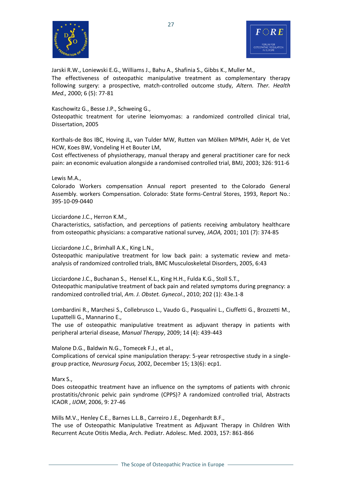



Jarski R.W., Loniewski E.G., Williams J., Bahu A., Shafinia S., Gibbs K., Muller M., The effectiveness of osteopathic manipulative treatment as complementary therapy following surgery: a prospective, match-controlled outcome study, *Altern. Ther. Health Med.,* 2000; 6 (5): 77-81

#### Kaschowitz G., Besse J.P., Schweing G.,

Osteopathic treatment for uterine leiomyomas: a randomized controlled clinical trial, Dissertation, 2005

Korthals-de Bos IBC, Hoving JL, van Tulder MW, Rutten van Mölken MPMH, Adèr H, de Vet HCW, Koes BW, Vondeling H et Bouter LM,

Cost effectiveness of physiotherapy, manual therapy and general practitioner care for neck pain: an economic evaluation alongside a randomised controlled trial, BMJ, 2003; 326: 911-6

#### Lewis M.A.,

Colorado Workers compensation Annual report presented to the Colorado General Assembly. workers Compensation. Colorado: State forms-Central Stores, 1993, Report No.: 395-10-09-0440

#### Licciardone J.C., Herron K.M.,

[Characteristics, satisfaction, and perceptions of patients receiving ambulatory healthcare](http://lib.bioinfo.pl/pmid:11476027)  [from osteopathic physicians: a comparative national survey,](http://lib.bioinfo.pl/pmid:11476027) *JAOA,* 2001; 101 (7): 374-85

Licciardone J.C., Brimhall A.K., King L.N.,

Osteopathic manipulative treatment for low back pain: a systematic review and metaanalysis of randomized controlled trials, BMC Musculoskeletal Disorders, 2005, 6:43

Licciardone J.C., Buchanan S., Hensel K.L., King H.H., Fulda K.G., Stoll S.T., Osteopathic manipulative treatment of back pain and related symptoms during pregnancy: a randomized controlled trial, *Am. J. Obstet. Gynecol*., 2010; 202 (1): 43e.1-8

Lombardini R., Marchesi S., Collebrusco L., Vaudo G., Pasqualini L., Ciuffetti G., Brozzetti M., Lupattelli G., Mannarino E.,

The use of osteopathic manipulative treatment as adjuvant therapy in patients with peripheral arterial disease, *Manual Therapy*, 2009; 14 (4): 439-443

Malone D.G., Baldwin N.G., Tomecek F.J., et al.,

Complications of cervical spine manipulation therapy: 5-year retrospective study in a singlegroup practice, *Neurosurg Focus,* 2002, December 15; 13(6): ecp1.

Marx S.,

Does osteopathic treatment have an influence on the symptoms of patients with chronic prostatitis/chronic pelvic pain syndrome (CPPS)? A randomized controlled trial, Abstracts ICAOR , *IJOM*, 2006, 9: 27-46

Mills M.V., Henley C.E., Barnes L.L.B., Carreiro J.E., Degenhardt B.F., The use of Osteopathic Manipulative Treatment as Adjuvant Therapy in Children With Recurrent Acute Otitis Media, Arch. Pediatr. Adolesc. Med. 2003, 157: 861-866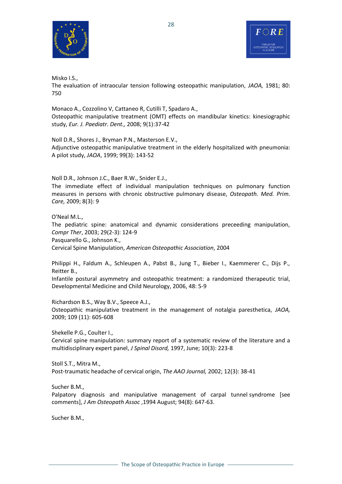

Misko I.S.,

The evaluation of intraocular tension following osteopathic manipulation, *JAOA,* 1981; 80: 750

Monaco A., [Cozzolino V,](http://www.ncbi.nlm.nih.gov/pubmed?term=%22Cozzolino%20V%22%5BAuthor%5D) [Cattaneo R,](http://www.ncbi.nlm.nih.gov/pubmed?term=%22Cattaneo%20R%22%5BAuthor%5D) [Cutilli T,](http://www.ncbi.nlm.nih.gov/pubmed?term=%22Cutilli%20T%22%5BAuthor%5D) [Spadaro A.](http://www.ncbi.nlm.nih.gov/pubmed?term=%22Spadaro%20A%22%5BAuthor%5D), Osteopathic manipulative treatment (OMT) effects on mandibular kinetics: kinesiographic study, *Eur. J. Paediatr. Dent.,* 2008; 9(1):37-42

Noll D.R., Shores J., Bryman P.N., Masterson E.V., Adjunctive osteopathic manipulative treatment in the elderly hospitalized with pneumonia: A pilot study, *JAOA*, 1999; 99(3): 143-52

Noll D.R., Johnson J.C., Baer R.W., Snider E.J.,

The immediate effect of individual manipulation techniques on pulmonary function measures in persons with chronic obstructive pulmonary disease, *Osteopath. Med. Prim. Care,* 2009; 8(3): 9

O'Neal M.L., The pediatric spine: anatomical and dynamic considerations preceeding manipulation, *Compr Ther*, 2003; 29(2-3): 124-9 Pasquarello G., Johnson K., Cervical Spine Manipulation, *American Osteopathic Association*, 2004

Philippi H., Faldum A., Schleupen A., Pabst B., Jung T., Bieber I., Kaemmerer C., Dijs P., Reitter B.,

Infantile postural asymmetry and osteopathic treatment: a randomized therapeutic trial, Developmental Medicine and Child Neurology, 2006, 48: 5-9

Richardson B.S., Way B.V., Speece A.J., Osteopathic manipulative treatment in the management of notalgia paresthetica, *JAOA,*  2009; 109 (11): 605-608

Shekelle P.G., Coulter I.,

Cervical spine manipulation: summary report of a systematic review of the literature and a multidisciplinary expert panel, *J Spinal Disord,* 1997, June; 10(3): 223-8

Stoll S.T., Mitra M., Post-traumatic headache of cervical origin, *The AAO Journal,* 2002; 12(3): 38-41

Sucher B.M.,

Palpatory diagnosis and manipulative management of carpal tunnel syndrome [see comments], *J Am Osteopath Assoc* ,1994 August; 94(8): 647-63.

Sucher B.M.,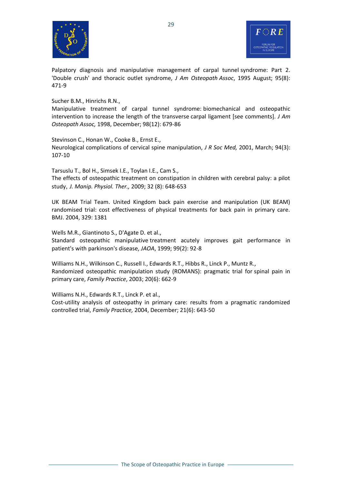



Palpatory diagnosis and manipulative management of carpal tunnel syndrome: Part 2. 'Double crush' and thoracic outlet syndrome, *J Am Osteopath Assoc*, 1995 August; 95(8): 471-9

Sucher B.M., Hinrichs R.N.,

Manipulative treatment of carpal tunnel syndrome: biomechanical and osteopathic intervention to increase the length of the transverse carpal ligament [see comments]. *J Am Osteopath Assoc,* 1998, December; 98(12): 679-86

Stevinson C., Honan W., Cooke B., Ernst E., Neurological complications of cervical spine manipulation, *J R Soc Med,* 2001, March; 94(3): 107-10

Tarsuslu T., Bol H., Simsek I.E., Toylan I.E., Cam S., The effects of osteopathic treatment on constipation in children with cerebral palsy: a pilot study, *J. Manip. Physiol. Ther.,* 2009; 32 (8): 648-653

UK BEAM Trial Team. United Kingdom back pain exercise and manipulation (UK BEAM) randomised trial: cost effectiveness of physical treatments for back pain in primary care. BMJ. 2004, 329: 1381

Wells M.R., Giantinoto S., D'Agate D. et al.,

Standard osteopathic manipulative treatment acutely improves gait performance in patient's with parkinson's disease, *JAOA*, 1999; 99(2): 92-8

Williams N.H., Wilkinson C., Russell I., Edwards R.T., Hibbs R., Linck P., Muntz R., Randomized osteopathic manipulation study (ROMANS): pragmatic trial for spinal pain in primary care, *Family Practice*, 2003; 20(6): 662-9

Williams N.H., Edwards R.T., Linck P. et al., Cost-utility analysis of osteopathy in primary care: results from a pragmatic randomized controlled trial, *Family Practice,* 2004, December; 21(6): 643-50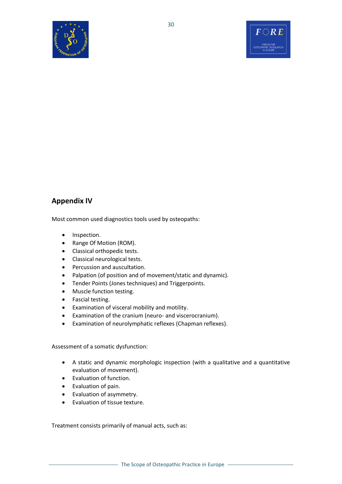



## **Appendix IV**

Most common used diagnostics tools used by osteopaths:

- Inspection.
- Range Of Motion (ROM).
- Classical orthopedic tests.
- Classical neurological tests.
- Percussion and auscultation.
- Palpation (of position and of movement/static and dynamic).
- Tender Points (Jones techniques) and Triggerpoints.
- Muscle function testing.
- Fascial testing.
- Examination of visceral mobility and motility.
- Examination of the cranium (neuro- and viscerocranium).
- Examination of neurolymphatic reflexes (Chapman reflexes).

Assessment of a somatic dysfunction:

- A static and dynamic morphologic inspection (with a qualitative and a quantitative evaluation of movement).
- Evaluation of function.
- Evaluation of pain.
- Evaluation of asymmetry.
- Evaluation of tissue texture.

Treatment consists primarily of manual acts, such as: